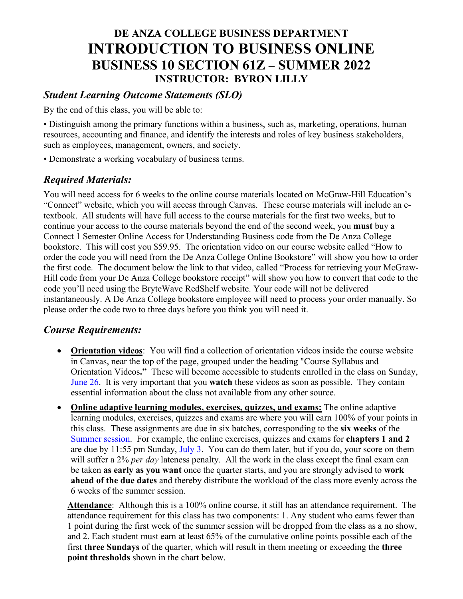# **DE ANZA COLLEGE BUSINESS DEPARTMENT INTRODUCTION TO BUSINESS ONLINE BUSINESS 10 SECTION 61Z – SUMMER 2022 INSTRUCTOR: BYRON LILLY**

## *Student Learning Outcome Statements (SLO)*

By the end of this class, you will be able to:

• Distinguish among the primary functions within a business, such as, marketing, operations, human resources, accounting and finance, and identify the interests and roles of key business stakeholders, such as employees, management, owners, and society.

• Demonstrate a working vocabulary of business terms.

## *Required Materials:*

You will need access for 6 weeks to the online course materials located on McGraw-Hill Education's "Connect" website, which you will access through Canvas. These course materials will include an etextbook. All students will have full access to the course materials for the first two weeks, but to continue your access to the course materials beyond the end of the second week, you **must** buy a Connect 1 Semester Online Access for Understanding Business code from the De Anza College bookstore. This will cost you \$59.95. The orientation video on our course website called "How to order the code you will need from the De Anza College Online Bookstore" will show you how to order the first code. The document below the link to that video, called "Process for retrieving your McGraw-Hill code from your De Anza College bookstore receipt" will show you how to convert that code to the code you'll need using the BryteWave RedShelf website. Your code will not be delivered instantaneously. A De Anza College bookstore employee will need to process your order manually. So please order the code two to three days before you think you will need it.

## *Course Requirements:*

- **Orientation videos**: You will find a collection of orientation videos inside the course website in Canvas, near the top of the page, grouped under the heading "Course Syllabus and Orientation Videos**."** These will become accessible to students enrolled in the class on Sunday, June 26. It is very important that you **watch** these videos as soon as possible. They contain essential information about the class not available from any other source.
- **Online adaptive learning modules, exercises, quizzes, and exams:** The online adaptive learning modules, exercises, quizzes and exams are where you will earn 100% of your points in this class. These assignments are due in six batches, corresponding to the **six weeks** of the Summer session. For example, the online exercises, quizzes and exams for **chapters 1 and 2** are due by 11:55 pm Sunday, July 3. You can do them later, but if you do, your score on them will suffer a 2% *per day* lateness penalty. All the work in the class except the final exam can be taken **as early as you want** once the quarter starts, and you are strongly advised to **work ahead of the due dates** and thereby distribute the workload of the class more evenly across the 6 weeks of the summer session.

**Attendance**: Although this is a 100% online course, it still has an attendance requirement. The attendance requirement for this class has two components: 1. Any student who earns fewer than 1 point during the first week of the summer session will be dropped from the class as a no show, and 2. Each student must earn at least 65% of the cumulative online points possible each of the first **three Sundays** of the quarter, which will result in them meeting or exceeding the **three point thresholds** shown in the chart below.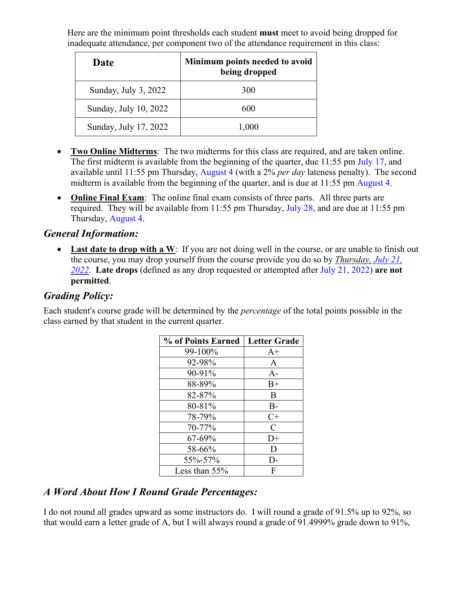Here are the minimum point thresholds each student **must** meet to avoid being dropped for inadequate attendance, per component two of the attendance requirement in this class:

| Date                  | Minimum points needed to avoid<br>being dropped |
|-----------------------|-------------------------------------------------|
| Sunday, July 3, 2022  | 300                                             |
| Sunday, July 10, 2022 | 600                                             |
| Sunday, July 17, 2022 | 1,000                                           |

- **Two Online Midterms**: The two midterms for this class are required, and are taken online. The first midterm is available from the beginning of the quarter, due 11:55 pm July 17, and available until 11:55 pm Thursday, August 4 (with a 2% *per day* lateness penalty). The second midterm is available from the beginning of the quarter, and is due at 11:55 pm August 4.
- **Online Final Exam**: The online final exam consists of three parts. All three parts are required. They will be available from 11:55 pm Thursday, July 28, and are due at 11:55 pm Thursday, August 4.

#### *General Information:*

• Last date to drop with a W: If you are not doing well in the course, or are unable to finish out the course, you may drop yourself from the course provide you do so by *Thursday, July 21, 2022*. **Late drops** (defined as any drop requested or attempted after July 21, 2022) **are not permitted**.

## *Grading Policy:*

Each student's course grade will be determined by the *percentage* of the total points possible in the class earned by that student in the current quarter.

| % of Points Earned | <b>Letter Grade</b>         |
|--------------------|-----------------------------|
| 99-100%            | $A+$                        |
| 92-98%             | $\mathsf{A}$                |
| 90-91%             | $A-$                        |
| 88-89%             | $B+$                        |
| 82-87%             | B                           |
| 80-81%             | $B -$                       |
| 78-79%             | $C+$                        |
| 70-77%             | $\mathcal{C}_{\mathcal{C}}$ |
| 67-69%             | $D+$                        |
| 58-66%             | D                           |
| 55%-57%            | $\mathsf{D}$                |
| Less than $55%$    | F                           |

## *A Word About How I Round Grade Percentages:*

I do not round all grades upward as some instructors do. I will round a grade of 91.5% up to 92%, so that would earn a letter grade of A, but I will always round a grade of 91.4999% grade down to 91%,